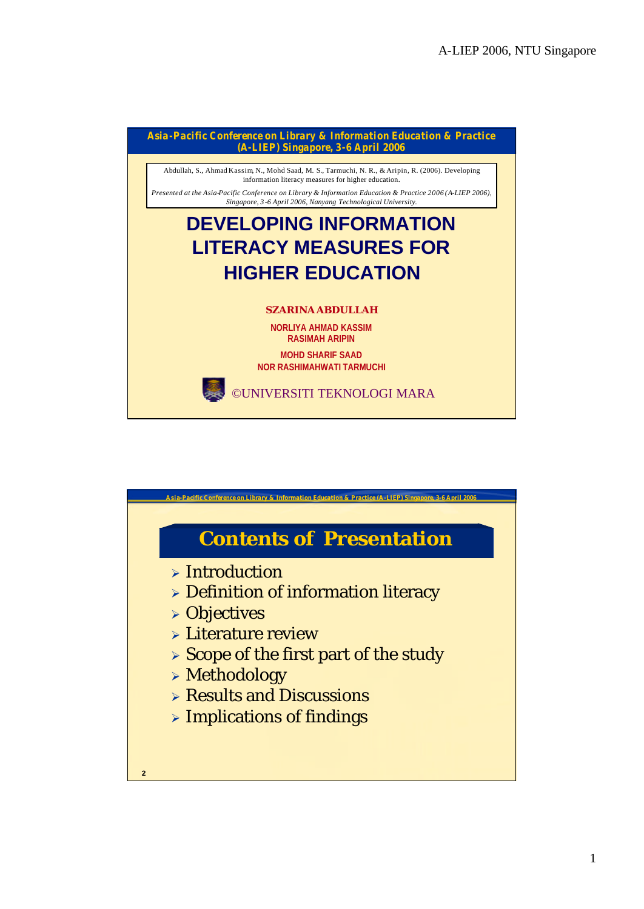

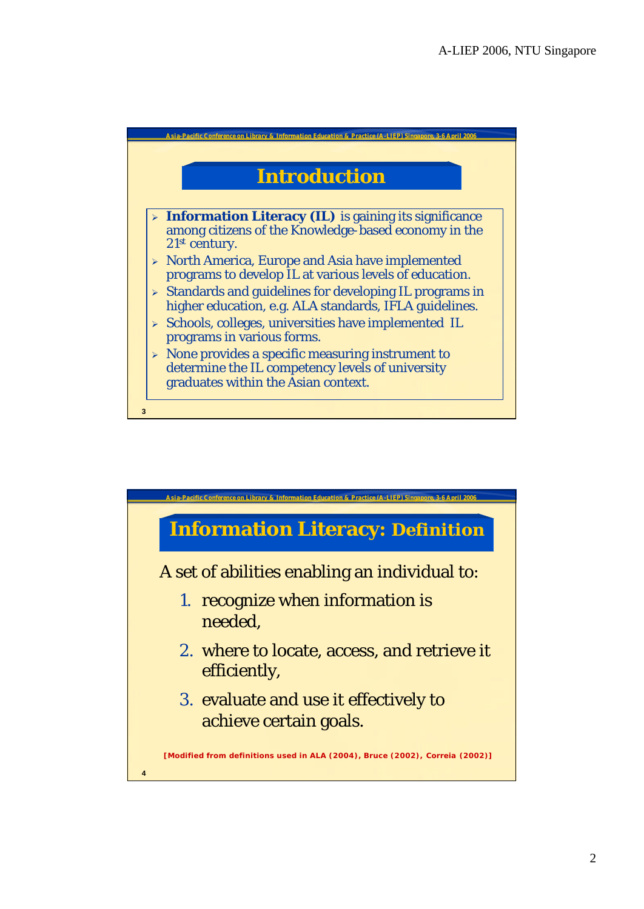

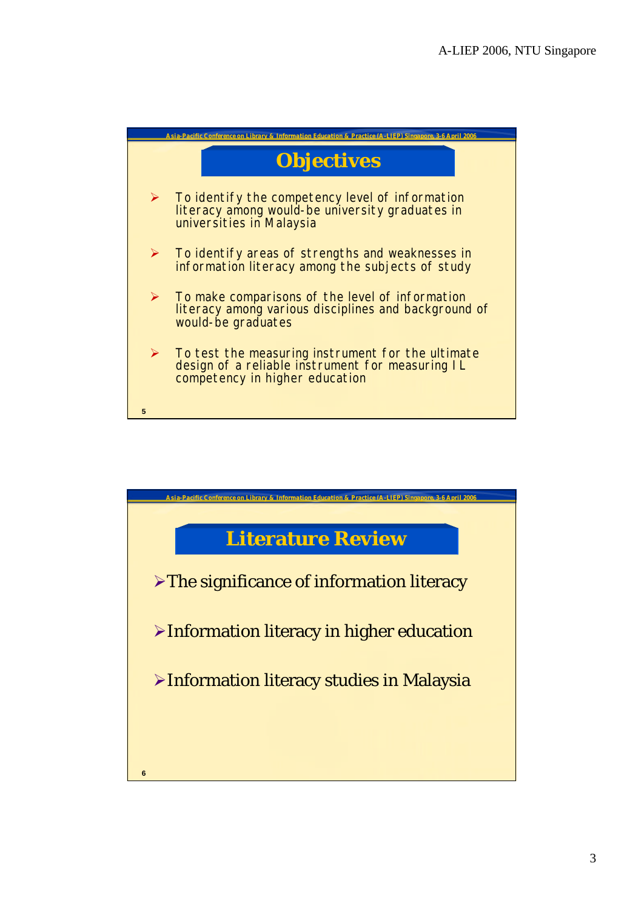

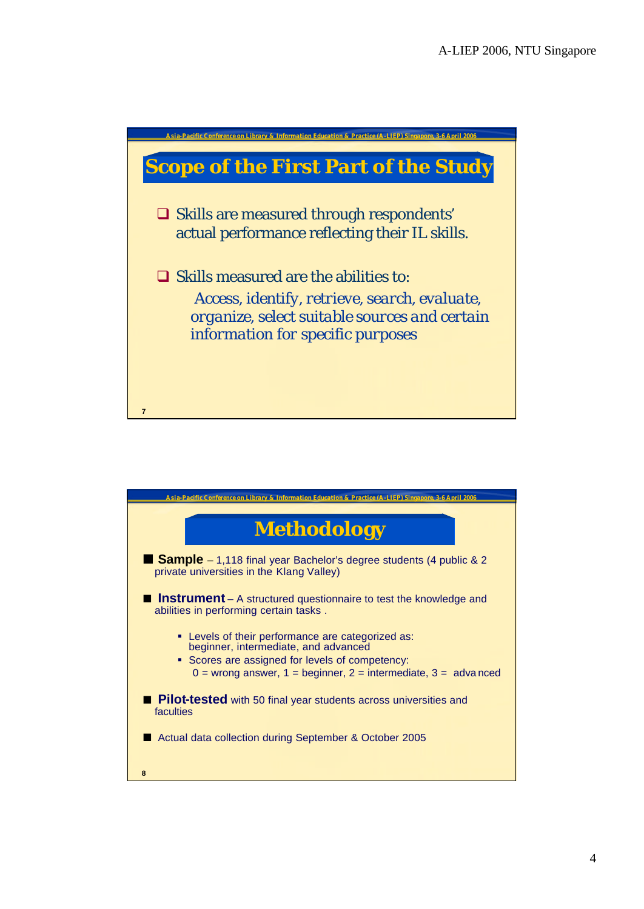

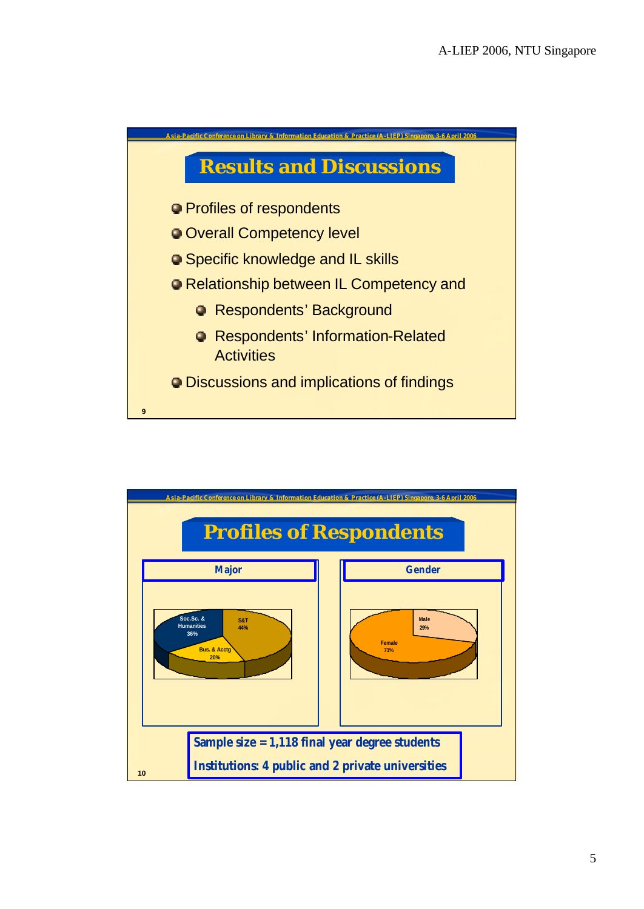

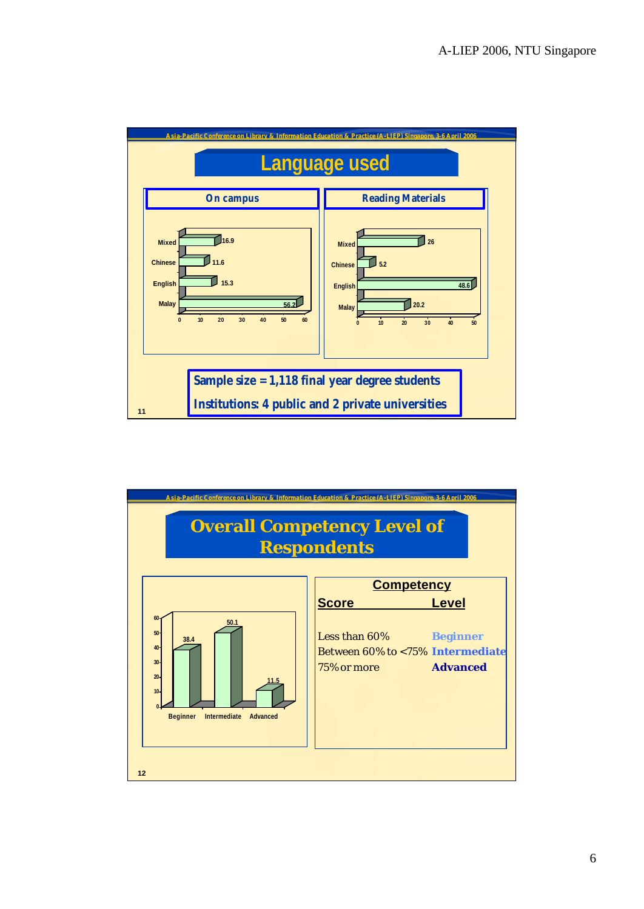

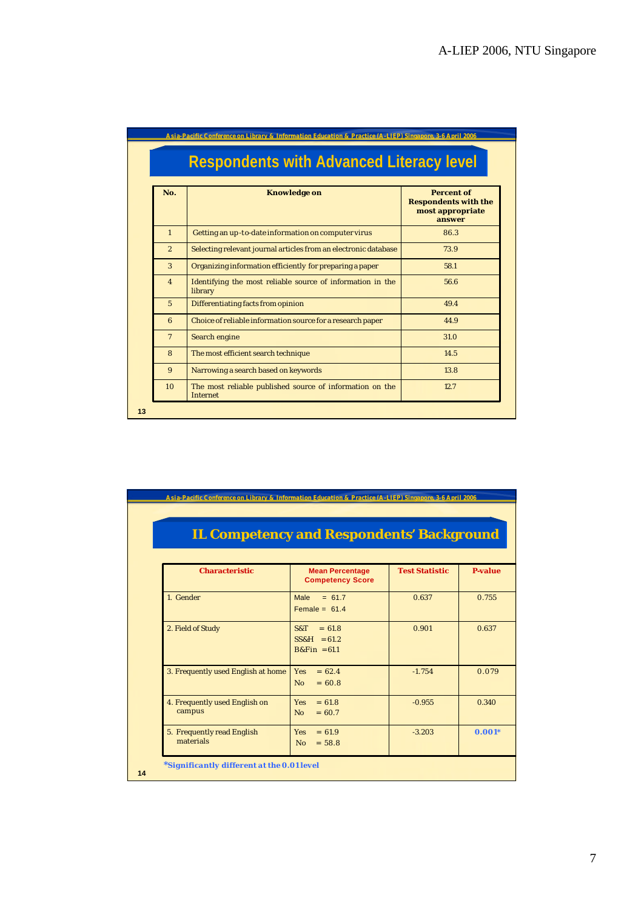| <b>Respondents with Advanced Literacy level</b> |                                                                       |                                                                                |  |  |  |
|-------------------------------------------------|-----------------------------------------------------------------------|--------------------------------------------------------------------------------|--|--|--|
| No.                                             | <b>Knowledge on</b>                                                   | <b>Percent of</b><br><b>Respondents with the</b><br>most appropriate<br>answer |  |  |  |
| $\mathbf{1}$                                    | Getting an up-to-date information on computer virus                   | 86.3                                                                           |  |  |  |
| $\overline{2}$                                  | Selecting relevant journal articles from an electronic database       | 73.9                                                                           |  |  |  |
| 3                                               | Organizing information efficiently for preparing a paper              | 58.1                                                                           |  |  |  |
| $\overline{4}$                                  | Identifying the most reliable source of information in the<br>library | 56.6                                                                           |  |  |  |
| $\overline{5}$                                  | Differentiating facts from opinion                                    | 49.4                                                                           |  |  |  |
| 6                                               | Choice of reliable information source for a research paper            | 44.9                                                                           |  |  |  |
| $\overline{7}$                                  | Search engine                                                         | 31.0                                                                           |  |  |  |
| 8                                               | The most efficient search technique                                   | 14.5                                                                           |  |  |  |
| 9                                               | Narrowing a search based on keywords                                  | 13.8                                                                           |  |  |  |
| 10                                              | The most reliable published source of information on the<br>Internet  | 12.7                                                                           |  |  |  |

| <b>IL Competency and Respondents' Background</b> |                                                    |                       |                |
|--------------------------------------------------|----------------------------------------------------|-----------------------|----------------|
| <b>Characteristic</b>                            | <b>Mean Percentage</b>                             | <b>Test Statistic</b> | <b>P-value</b> |
|                                                  | <b>Competency Score</b>                            |                       |                |
| 1 Gender                                         | Male<br>$= 61.7$<br>$Female = 614$                 | 0.637                 | 0.755          |
| 2. Field of Study                                | S&T<br>$= 61.8$<br>$SS&H = 61.2$<br>$B&Fin = 61.1$ | 0.901                 | 0.637          |
| 3. Frequently used English at home               | <b>Yes</b><br>$= 62.4$<br>$= 60.8$<br>No           | $-1.754$              | 0.079          |
| 4. Frequently used English on<br>campus          | <b>Yes</b><br>$= 61.8$<br>$= 60.7$<br>No           | $-0.955$              | 0.340          |
| 5. Frequently read English<br>materials          | <b>Yes</b><br>$= 61.9$<br>$= 58.8$<br>No           | $-3.203$              | $0.001*$       |

7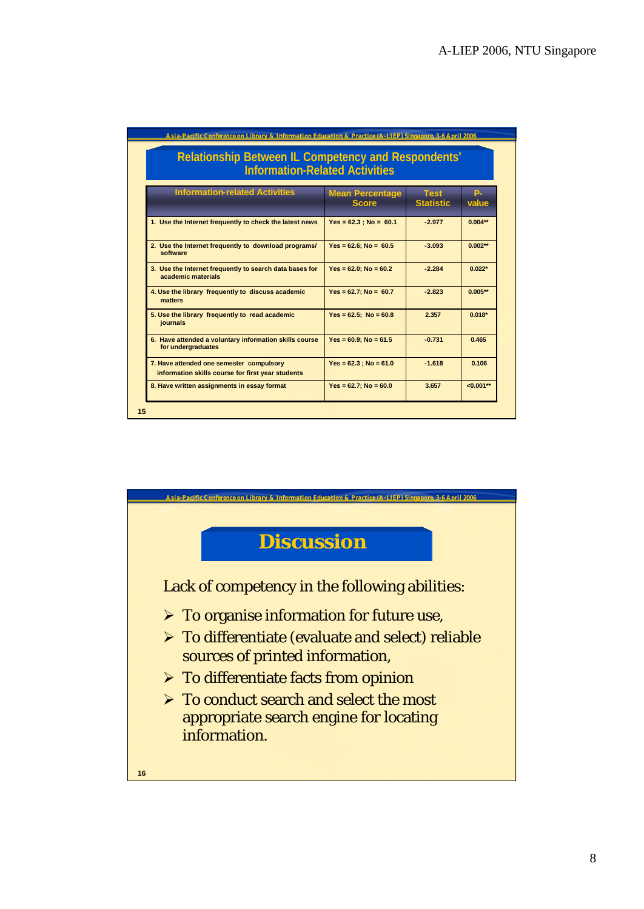| <b>Relationship Between IL Competency and Respondents'</b><br><b>Information-Related Activities</b> |                                        |                                 |             |
|-----------------------------------------------------------------------------------------------------|----------------------------------------|---------------------------------|-------------|
| <b>Information-related Activities</b>                                                               | <b>Mean Percentage</b><br><b>Score</b> | <b>Test</b><br><b>Statistic</b> | Р.<br>value |
| 1. Use the Internet frequently to check the latest news                                             | $Yes = 62.3$ ; No = 60.1               | $-2.977$                        | $0.004**$   |
| 2. Use the Internet frequently to download programs/<br>software                                    | $Yes = 62.6: No = 60.5$                | $-3.093$                        | $0.002**$   |
| 3. Use the Internet frequently to search data bases for<br>academic materials                       | $Yes = 62.0$ ; No = 60.2               | $-2.284$                        | $0.022*$    |
| 4. Use the library frequently to discuss academic<br>matters                                        | $Yes = 62.7; No = 60.7$                | $-2.823$                        | $0.005**$   |
| 5. Use the library frequently to read academic<br><b>journals</b>                                   | $Yes = 62.5$ ; No = 60.8               | 2.357                           | $0.018*$    |
| 6. Have attended a voluntary information skills course<br>for undergraduates                        | $Yes = 60.9; No = 61.5$                | $-0.731$                        | 0.465       |
| 7. Have attended one semester compulsory<br>information skills course for first year students       | $Yes = 62.3$ ; No = 61.0               | $-1.618$                        | 0.106       |
| 8. Have written assignments in essay format                                                         | $Yes = 62.7$ ; No = 60.0               | 3.657                           | $< 0.001**$ |